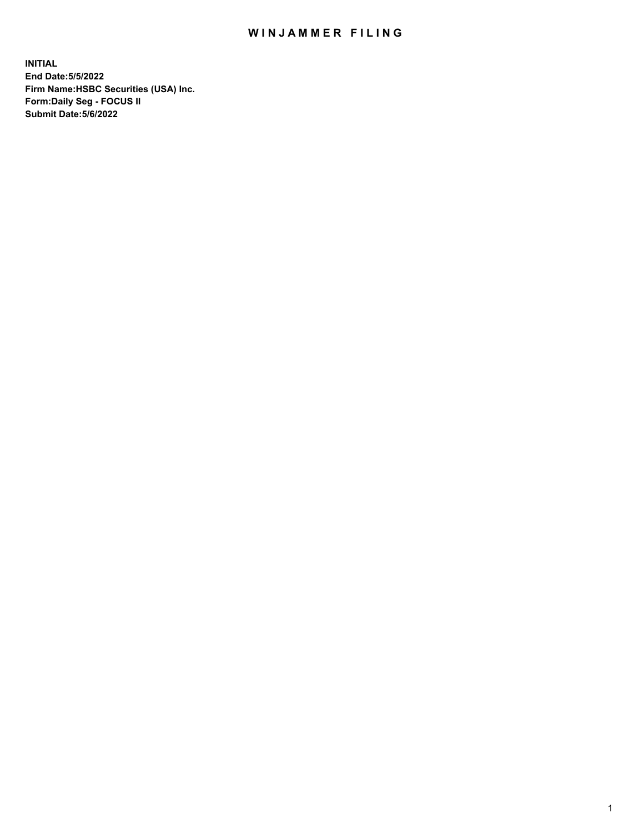## WIN JAMMER FILING

**INITIAL End Date:5/5/2022 Firm Name:HSBC Securities (USA) Inc. Form:Daily Seg - FOCUS II Submit Date:5/6/2022**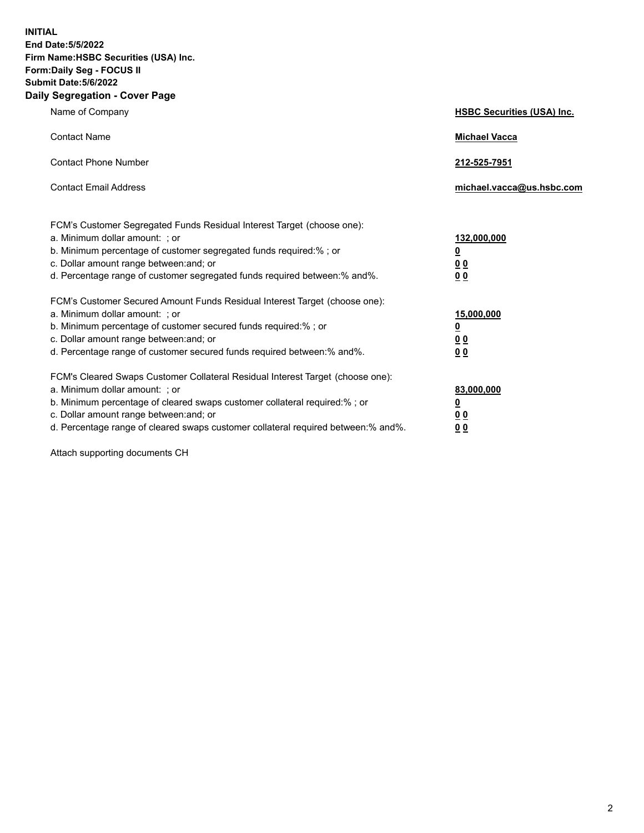**INITIAL End Date:5/5/2022 Firm Name:HSBC Securities (USA) Inc. Form:Daily Seg - FOCUS II Submit Date:5/6/2022 Daily Segregation - Cover Page**

| Name of Company                                                                                                                                                                                                                                                                                                                | <b>HSBC Securities (USA) Inc.</b>                                          |
|--------------------------------------------------------------------------------------------------------------------------------------------------------------------------------------------------------------------------------------------------------------------------------------------------------------------------------|----------------------------------------------------------------------------|
| <b>Contact Name</b>                                                                                                                                                                                                                                                                                                            | <b>Michael Vacca</b>                                                       |
| <b>Contact Phone Number</b>                                                                                                                                                                                                                                                                                                    | 212-525-7951                                                               |
| <b>Contact Email Address</b>                                                                                                                                                                                                                                                                                                   | michael.vacca@us.hsbc.com                                                  |
| FCM's Customer Segregated Funds Residual Interest Target (choose one):<br>a. Minimum dollar amount: ; or<br>b. Minimum percentage of customer segregated funds required:% ; or<br>c. Dollar amount range between: and; or<br>d. Percentage range of customer segregated funds required between:% and%.                         | 132,000,000<br>$\overline{\mathbf{0}}$<br>0 <sub>0</sub><br>0 <sub>0</sub> |
| FCM's Customer Secured Amount Funds Residual Interest Target (choose one):<br>a. Minimum dollar amount: ; or<br>b. Minimum percentage of customer secured funds required:% ; or<br>c. Dollar amount range between: and; or<br>d. Percentage range of customer secured funds required between:% and%.                           | 15,000,000<br><u>0</u><br>0 <sub>0</sub><br>00                             |
| FCM's Cleared Swaps Customer Collateral Residual Interest Target (choose one):<br>a. Minimum dollar amount: ; or<br>b. Minimum percentage of cleared swaps customer collateral required:% ; or<br>c. Dollar amount range between: and; or<br>d. Percentage range of cleared swaps customer collateral required between:% and%. | 83,000,000<br><u>0</u><br><u>00</u><br>00                                  |

Attach supporting documents CH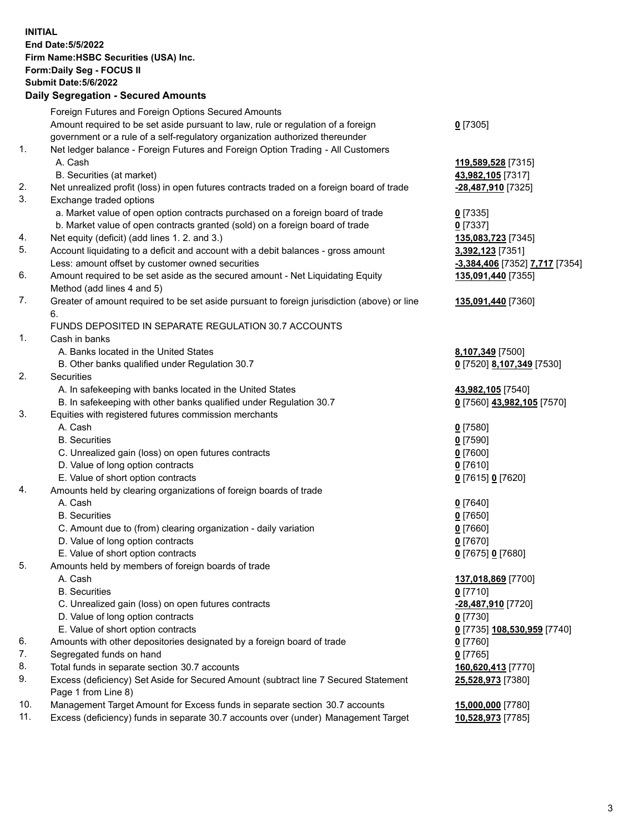**INITIAL End Date:5/5/2022 Firm Name:HSBC Securities (USA) Inc. Form:Daily Seg - FOCUS II Submit Date:5/6/2022 Daily Segregation - Secured Amounts** Foreign Futures and Foreign Options Secured Amounts Amount required to be set aside pursuant to law, rule or regulation of a foreign government or a rule of a self-regulatory organization authorized thereunder **0** [7305] 1. Net ledger balance - Foreign Futures and Foreign Option Trading - All Customers A. Cash **119,589,528** [7315] B. Securities (at market) **43,982,105** [7317] 2. Net unrealized profit (loss) in open futures contracts traded on a foreign board of trade **-28,487,910** [7325] 3. Exchange traded options a. Market value of open option contracts purchased on a foreign board of trade **0** [7335] b. Market value of open contracts granted (sold) on a foreign board of trade **0** [7337] 4. Net equity (deficit) (add lines 1. 2. and 3.) **135,083,723** [7345] 5. Account liquidating to a deficit and account with a debit balances - gross amount **3,392,123** [7351] Less: amount offset by customer owned securities **-3,384,406** [7352] **7,717** [7354] 6. Amount required to be set aside as the secured amount - Net Liquidating Equity Method (add lines 4 and 5) **135,091,440** [7355] 7. Greater of amount required to be set aside pursuant to foreign jurisdiction (above) or line 6. **135,091,440** [7360] FUNDS DEPOSITED IN SEPARATE REGULATION 30.7 ACCOUNTS 1. Cash in banks A. Banks located in the United States **8,107,349** [7500] B. Other banks qualified under Regulation 30.7 **0** [7520] **8,107,349** [7530] 2. Securities A. In safekeeping with banks located in the United States **43,982,105** [7540] B. In safekeeping with other banks qualified under Regulation 30.7 **0** [7560] **43,982,105** [7570] 3. Equities with registered futures commission merchants A. Cash **0** [7580] B. Securities **0** [7590] C. Unrealized gain (loss) on open futures contracts **0** [7600] D. Value of long option contracts **0** [7610] E. Value of short option contracts **0** [7615] **0** [7620] 4. Amounts held by clearing organizations of foreign boards of trade A. Cash **0** [7640] B. Securities **0** [7650] C. Amount due to (from) clearing organization - daily variation **0** [7660] D. Value of long option contracts **0** [7670] E. Value of short option contracts **0** [7675] **0** [7680] 5. Amounts held by members of foreign boards of trade A. Cash **137,018,869** [7700] B. Securities **0** [7710] C. Unrealized gain (loss) on open futures contracts **-28,487,910** [7720] D. Value of long option contracts **0** [7730] E. Value of short option contracts **0** [7735] **108,530,959** [7740] 6. Amounts with other depositories designated by a foreign board of trade **0** [7760] 7. Segregated funds on hand **0** [7765] 8. Total funds in separate section 30.7 accounts **160,620,413** [7770] 9. Excess (deficiency) Set Aside for Secured Amount (subtract line 7 Secured Statement Page 1 from Line 8) **25,528,973** [7380] 10. Management Target Amount for Excess funds in separate section 30.7 accounts **15,000,000** [7780] 11. Excess (deficiency) funds in separate 30.7 accounts over (under) Management Target **10,528,973** [7785]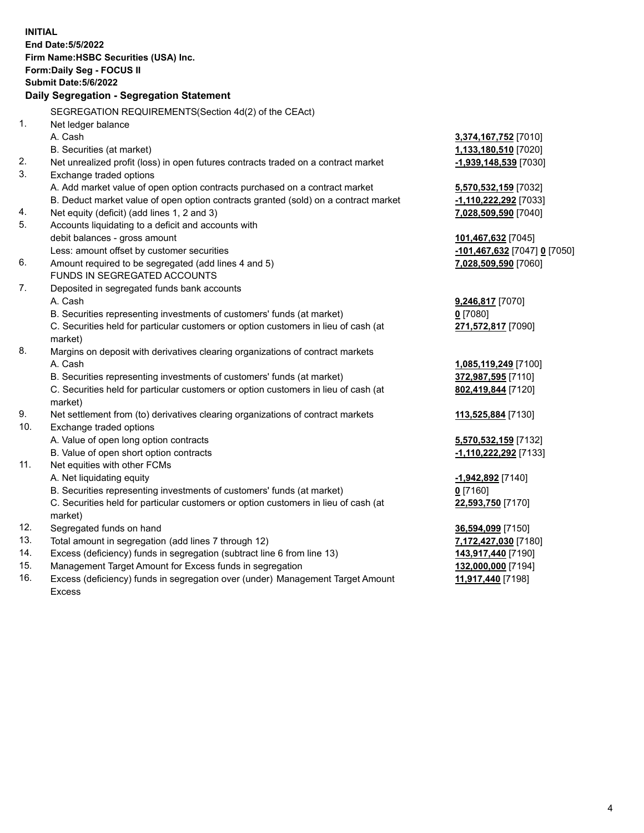| <b>INITIAL</b> | End Date: 5/5/2022<br>Firm Name: HSBC Securities (USA) Inc.<br>Form: Daily Seg - FOCUS II<br><b>Submit Date: 5/6/2022</b><br>Daily Segregation - Segregation Statement |                              |
|----------------|------------------------------------------------------------------------------------------------------------------------------------------------------------------------|------------------------------|
|                |                                                                                                                                                                        |                              |
| 1.             | SEGREGATION REQUIREMENTS(Section 4d(2) of the CEAct)                                                                                                                   |                              |
|                | Net ledger balance<br>A. Cash                                                                                                                                          |                              |
|                | B. Securities (at market)                                                                                                                                              | 3,374,167,752 [7010]         |
| 2.             | Net unrealized profit (loss) in open futures contracts traded on a contract market                                                                                     | 1,133,180,510 [7020]         |
| 3.             | Exchange traded options                                                                                                                                                | -1,939,148,539 [7030]        |
|                | A. Add market value of open option contracts purchased on a contract market                                                                                            | 5,570,532,159 [7032]         |
|                | B. Deduct market value of open option contracts granted (sold) on a contract market                                                                                    | -1,110,222,292 [7033]        |
| 4.             | Net equity (deficit) (add lines 1, 2 and 3)                                                                                                                            | 7,028,509,590 [7040]         |
| 5.             | Accounts liquidating to a deficit and accounts with                                                                                                                    |                              |
|                | debit balances - gross amount                                                                                                                                          | 101,467,632 [7045]           |
|                | Less: amount offset by customer securities                                                                                                                             | -101,467,632 [7047] 0 [7050] |
| 6.             | Amount required to be segregated (add lines 4 and 5)                                                                                                                   | 7,028,509,590 [7060]         |
|                | FUNDS IN SEGREGATED ACCOUNTS                                                                                                                                           |                              |
| 7.             | Deposited in segregated funds bank accounts                                                                                                                            |                              |
|                | A. Cash                                                                                                                                                                | 9,246,817 [7070]             |
|                | B. Securities representing investments of customers' funds (at market)                                                                                                 | $0$ [7080]                   |
|                | C. Securities held for particular customers or option customers in lieu of cash (at                                                                                    | 271,572,817 [7090]           |
| 8.             | market)<br>Margins on deposit with derivatives clearing organizations of contract markets                                                                              |                              |
|                | A. Cash                                                                                                                                                                | 1,085,119,249 [7100]         |
|                | B. Securities representing investments of customers' funds (at market)                                                                                                 | 372,987,595 [7110]           |
|                | C. Securities held for particular customers or option customers in lieu of cash (at                                                                                    | 802,419,844 [7120]           |
|                | market)                                                                                                                                                                |                              |
| 9.             | Net settlement from (to) derivatives clearing organizations of contract markets                                                                                        | 113,525,884 [7130]           |
| 10.            | Exchange traded options                                                                                                                                                |                              |
|                | A. Value of open long option contracts                                                                                                                                 | 5,570,532,159 [7132]         |
|                | B. Value of open short option contracts                                                                                                                                | -1,110,222,292 [7133]        |
| 11.            | Net equities with other FCMs                                                                                                                                           |                              |
|                | A. Net liquidating equity                                                                                                                                              | -1,942,892 [7140]            |
|                | B. Securities representing investments of customers' funds (at market)                                                                                                 | $0$ [7160]                   |
|                | C. Securities held for particular customers or option customers in lieu of cash (at                                                                                    | 22,593,750 [7170]            |
|                | market)                                                                                                                                                                |                              |
| 12.            | Segregated funds on hand                                                                                                                                               | 36,594,099 [7150]            |
| 13.            | Total amount in segregation (add lines 7 through 12)                                                                                                                   | 7,172,427,030 [7180]         |
| 14.            | Excess (deficiency) funds in segregation (subtract line 6 from line 13)                                                                                                | 143,917,440 [7190]           |
| 15.            | Management Target Amount for Excess funds in segregation                                                                                                               | 132,000,000 [7194]           |

16. Excess (deficiency) funds in segregation over (under) Management Target Amount Excess

**11,917,440** [7198]